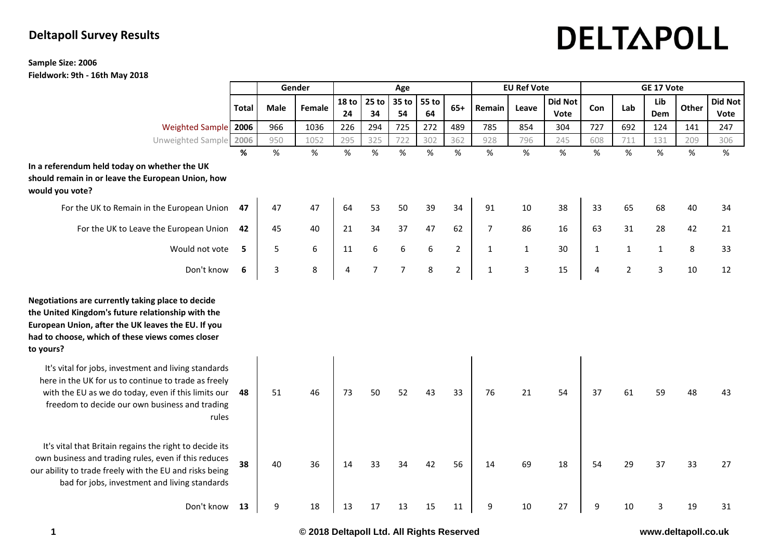# DELTAPOLL

## **Deltapoll Survey Results**

#### **Sample Size: 2006 Fieldwork: 9th - 16th May 2018**

|                                                                                                                                                                                                                                |              | Gender      |        | Age                    |                |                |             | <b>EU Ref Vote</b> |                |              | GE 17 Vote             |              |                |              |       |                        |
|--------------------------------------------------------------------------------------------------------------------------------------------------------------------------------------------------------------------------------|--------------|-------------|--------|------------------------|----------------|----------------|-------------|--------------------|----------------|--------------|------------------------|--------------|----------------|--------------|-------|------------------------|
|                                                                                                                                                                                                                                | <b>Total</b> | <b>Male</b> | Female | 18 <sub>to</sub><br>24 | $25$ to<br>34  | 35 to<br>54    | 55 to<br>64 | $65+$              | Remain         | Leave        | <b>Did Not</b><br>Vote | Con          | Lab            | Lib<br>Dem   | Other | <b>Did Not</b><br>Vote |
| Weighted Sample 2006                                                                                                                                                                                                           |              | 966         | 1036   | 226                    | 294            | 725            | 272         | 489                | 785            | 854          | 304                    | 727          | 692            | 124          | 141   | 247                    |
| Unweighted Sample 2006                                                                                                                                                                                                         |              | 950         | 1052   | 295                    | 325            | 722            | 302         | 362                | 928            | 796          | 245                    | 608          | 711            | 131          | 209   | 306                    |
|                                                                                                                                                                                                                                | %            | %           | $\%$   | $\%$                   | %              | %              | %           | %                  | $\%$           | %            | %                      | $\%$         | $\%$           | %            | %     | $\%$                   |
| In a referendum held today on whether the UK<br>should remain in or leave the European Union, how<br>would you vote?                                                                                                           |              |             |        |                        |                |                |             |                    |                |              |                        |              |                |              |       |                        |
| For the UK to Remain in the European Union                                                                                                                                                                                     | 47           | 47          | 47     | 64                     | 53             | 50             | 39          | 34                 | 91             | 10           | 38                     | 33           | 65             | 68           | 40    | 34                     |
| For the UK to Leave the European Union 42                                                                                                                                                                                      |              | 45          | 40     | 21                     | 34             | 37             | 47          | 62                 | $\overline{7}$ | 86           | 16                     | 63           | 31             | 28           | 42    | 21                     |
| Would not vote                                                                                                                                                                                                                 | - 5          | 5           | 6      | 11                     | 6              | 6              | 6           | $\overline{2}$     | $\mathbf{1}$   | $\mathbf{1}$ | 30                     | $\mathbf{1}$ | $\mathbf{1}$   | $\mathbf{1}$ | 8     | 33                     |
| Don't know                                                                                                                                                                                                                     | 6            | 3           | 8      | 4                      | $\overline{7}$ | $\overline{7}$ | 8           | $\overline{2}$     | $\mathbf 1$    | $\mathbf{3}$ | 15                     | 4            | $\overline{2}$ | $\mathbf{3}$ | 10    | 12                     |
| Negotiations are currently taking place to decide<br>the United Kingdom's future relationship with the<br>European Union, after the UK leaves the EU. If you<br>had to choose, which of these views comes closer<br>to yours?  |              |             |        |                        |                |                |             |                    |                |              |                        |              |                |              |       |                        |
| It's vital for jobs, investment and living standards<br>here in the UK for us to continue to trade as freely<br>with the EU as we do today, even if this limits our<br>freedom to decide our own business and trading<br>rules | - 48         | 51          | 46     | 73                     | 50             | 52             | 43          | 33                 | 76             | 21           | 54                     | 37           | 61             | 59           | 48    | 43                     |
| It's vital that Britain regains the right to decide its<br>own business and trading rules, even if this reduces<br>our ability to trade freely with the EU and risks being<br>bad for jobs, investment and living standards    | 38           | 40          | 36     | 14                     | 33             | 34             | 42          | 56                 | 14             | 69           | 18                     | 54           | 29             | 37           | 33    | 27                     |
| Don't know 13                                                                                                                                                                                                                  |              | 9           | 18     | 13                     | 17             | 13             | 15          | 11                 | 9              | 10           | 27                     | 9            | 10             | 3            | 19    | 31                     |

**1 © 2018 Deltapoll Ltd. All Rights Reserved www.deltapoll.co.uk**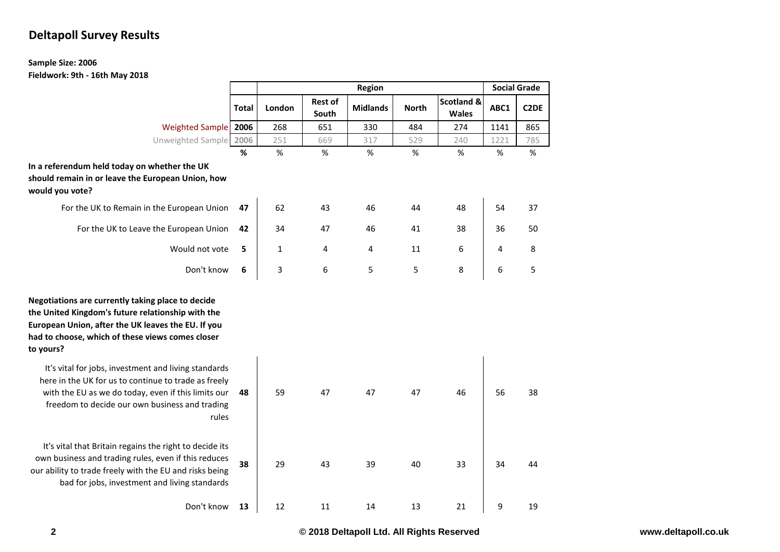## **Deltapoll Survey Results**

#### **Sample Size: 2006 Fieldwork: 9th - 16th May 2018**

|                                                                                                                                                                                                                                |       |        | <b>Social Grade</b>     |                 |              |                                       |      |                   |
|--------------------------------------------------------------------------------------------------------------------------------------------------------------------------------------------------------------------------------|-------|--------|-------------------------|-----------------|--------------|---------------------------------------|------|-------------------|
|                                                                                                                                                                                                                                | Total | London | <b>Rest of</b><br>South | <b>Midlands</b> | <b>North</b> | <b>Scotland &amp;</b><br><b>Wales</b> | ABC1 | C <sub>2</sub> DE |
| <b>Weighted Sample</b>                                                                                                                                                                                                         | 2006  | 268    | 651                     | 330             | 484          | 274                                   | 1141 | 865               |
| Unweighted Sample                                                                                                                                                                                                              | 2006  | 251    | 669                     | 317             | 529          | 240                                   | 1221 | 785               |
|                                                                                                                                                                                                                                | %     | %      | %                       | %               | %            | %                                     | %    | %                 |
| In a referendum held today on whether the UK<br>should remain in or leave the European Union, how<br>would you vote?                                                                                                           |       |        |                         |                 |              |                                       |      |                   |
| For the UK to Remain in the European Union                                                                                                                                                                                     | 47    | 62     | 43                      | 46              | 44           | 48                                    | 54   | 37                |
| For the UK to Leave the European Union                                                                                                                                                                                         | 42    | 34     | 47                      | 46              | 41           | 38                                    | 36   | 50                |
| Would not vote                                                                                                                                                                                                                 | 5     | 1      | 4                       | 4               | 11           | 6                                     | 4    | 8                 |
| Don't know                                                                                                                                                                                                                     | 6     | 3      | 6                       | 5               | 5            | 8                                     | 6    | 5                 |
| Negotiations are currently taking place to decide<br>the United Kingdom's future relationship with the<br>European Union, after the UK leaves the EU. If you<br>had to choose, which of these views comes closer<br>to yours?  |       |        |                         |                 |              |                                       |      |                   |
| It's vital for jobs, investment and living standards<br>here in the UK for us to continue to trade as freely<br>with the EU as we do today, even if this limits our<br>freedom to decide our own business and trading<br>rules | 48    | 59     | 47                      | 47              | 47           | 46                                    | 56   | 38                |
| It's vital that Britain regains the right to decide its<br>own business and trading rules, even if this reduces<br>our ability to trade freely with the EU and risks being<br>bad for jobs, investment and living standards    | 38    | 29     | 43                      | 39              | 40           | 33                                    | 34   | 44                |
| Don't know                                                                                                                                                                                                                     | 13    | 12     | 11                      | 14              | 13           | 21                                    | 9    | 19                |